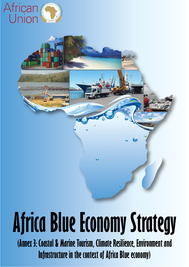

# **Africa Blue Economy Strategy**

**(Annex 3: Coastal & Marine Tourism, Climate Resilience, Environment and Infrastructure in the context of Africa Blue economy)**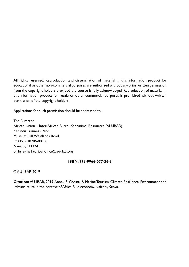All rights reserved. Reproduction and dissemination of material in this information product for educational or other non-commercial purposes are authorized without any prior written permission from the copyright holders provided the source is fully acknowledged. Reproduction of material in this information product for resale or other commercial purposes is prohibited without written permission of the copyright holders.

Applications for such permission should be addressed to:

The Director African Union – Inter-African Bureau for Animal Resources (AU-IBAR) Kenindia Business Park Museum Hill, Westlands Road P.O. Box 30786-00100, Nairobi, KENYA. or by e-mail to: ibar.office@au-ibar.org

#### **ISBN: 978-9966-077-36-3**

© AU-IBAR 2019

**Citation:** AU-IBAR, 2019. Annex 3. Coastal & Marine Tourism, Climate Resilience, Environment and Infrastructure in the context of Africa Blue economy. Nairobi, Kenya.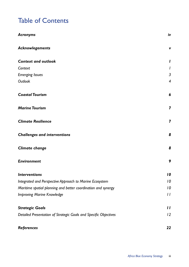# Table of Contents

| <b>Acronyms</b>                                                  | iv                      |
|------------------------------------------------------------------|-------------------------|
| Acknowlegements                                                  | v                       |
| <b>Context and outlook</b>                                       | I                       |
| Context                                                          | I                       |
| <b>Emerging Issues</b>                                           | $\mathfrak{Z}$          |
| Outlook                                                          | $\overline{4}$          |
| <b>Coastal Tourism</b>                                           | 6                       |
| <b>Marine Tourism</b>                                            | $\overline{\mathbf{z}}$ |
| <b>Climate Resilience</b>                                        | 7                       |
| <b>Challenges and interventions</b>                              | 8                       |
| <b>Climate change</b>                                            | 8                       |
| <b>Environment</b>                                               | 9                       |
| <b>Interventions</b>                                             | 10                      |
| Integrated and Perspective Approach to Marine Ecosystem          | 10                      |
| Maritime spatial planning and better coordination and synergy    | 10                      |
| <b>Improving Marine Knowledge</b>                                | $\frac{1}{2}$           |
| <b>Strategic Goals</b>                                           | $\mathbf{I}$            |
| Detailed Presentation of Strategic Goals and Specific Objectives | 12                      |
| References                                                       | 22                      |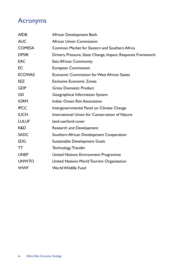# Acronyms

| <b>AfDB</b>   | African Development Bank                                    |
|---------------|-------------------------------------------------------------|
| <b>AUC</b>    | <b>African Union Commission</b>                             |
| <b>COMESA</b> | Common Market for Eastern and Southern Africa               |
| <b>DPSIR</b>  | Drivers, Pressure, State Change, Impact, Response Framework |
| <b>EAC</b>    | <b>East African Community</b>                               |
| <b>EC</b>     | <b>European Commission</b>                                  |
| <b>ECOWAS</b> | <b>Economic Commission for West African States</b>          |
| <b>EEZ</b>    | <b>Exclusive Economic Zones</b>                             |
| <b>GDP</b>    | <b>Gross Domestic Product</b>                               |
| <b>GIS</b>    | Geographical Information System                             |
| <b>IORM</b>   | Indian Ocean Rim Association                                |
| <b>IPCC</b>   | Intergovernmental Panel on Climate Change                   |
| <b>IUCN</b>   | International Union for Conservation of Nature              |
| <b>LULUF</b>  | land-use/land-cover                                         |
| R&D           | <b>Research and Development</b>                             |
| <b>SADC</b>   | Southern African Development Cooperation                    |
| <b>SDG</b>    | Sustainable Development Goals                               |
| TT            | <b>Technology Transfer</b>                                  |
| <b>UNEP</b>   | United Nations Environment Programme                        |
| <b>UNWTO</b>  | United Nations World Tourism Organization                   |
| <b>WWF</b>    | <b>World Wildlife Fund</b>                                  |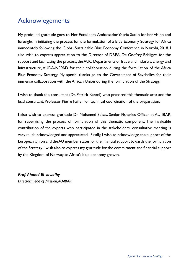# Acknowlegements

My profound gratitude goes to Her Excellency Ambassador Yosefa Sacko for her vision and foresight in initiating the process for the formulation of a Blue Economy Strategy for Africa immediately following the Global Sustainable Blue Economy Conference in Nairobi, 2018. I also wish to express appreciation to the Director of DREA, Dr. Godfrey Bahiigwa for the support and facilitating the process; the AUC Departments of Trade and Industry, Energy and Infrastructure, AUDA-NEPAD for their collaboration during the formulation of the Africa Blue Economy Strategy. My special thanks go to the Government of Seychelles for their immense collaboration with the African Union during the formulation of the Strategy.

I wish to thank the consultant (Dr. Patrick Karani) who prepared this thematic area and the lead consultant, Professor Pierre Failler for technical coordination of the preparation.

I also wish to express gratitude Dr. Mohamed Seisay, Senior Fisheries Officer at AU-IBAR, for supervising the process of formulation of this thematic component. The invaluable contribution of the experts who participated in the stakeholders' consultative meeting is very much acknowledged and appreciated. Finally, I wish to acknowledge the support of the European Union and the AU member states for the financial support towards the formulation of the Strategy. I wish also to express my gratitude for the commitment and financial support by the Kingdom of Norway to Africa's blue economy growth.

#### *Prof. Ahmed El-sawalhy*

*Director/Head of Mission, AU-IBAR*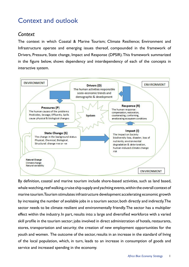# Context and outlook

## *Context*

The context in which Coastal & Marine Tourism; Climate Resilience; Environment and Infrastructure operate and emerging issues thereof, compounded in the framework of Drivers, Pressure, State change, Impact and Response (DPSIR). This framework summarized in the figure below, shows dependency and interdependency of each of the concepts in interactive system.



By definition, coastal and marine tourism include shore-based activities, such as land based, whale watching, reef walking, cruise ship supply and yachting events, within the overall context of marine tourism. Tourism stimulates infrastructure development accelerating economic growth by increasing the number of available jobs in a tourism sector, both directly and indirectly. The sector needs to be climate resilient and environmentally friendly. The sector has a multiplier effect within the industry. In part, results into: a large and diversified workforce with a varied skill profile in the tourism sector; jobs involved in direct administration of hotels, restaurants, stores, transportation and security; the creation of new employment opportunities for the youth and women. The outcome of the sector, results in an increase in the standard of living of the local population, which, in turn, leads to an increase in consumption of goods and service and increased spending in the economy.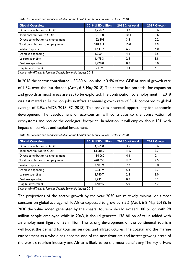|  |  |  | Table I: Economic and social contribution of the Coastal and Marine Tourism sector in 2018 |  |  |  |  |  |  |  |  |
|--|--|--|--------------------------------------------------------------------------------------------|--|--|--|--|--|--|--|--|
|--|--|--|--------------------------------------------------------------------------------------------|--|--|--|--|--|--|--|--|

| <b>Global Overview</b>            | 2018 USD billion | $2018%$ of total | 2019 Growth |
|-----------------------------------|------------------|------------------|-------------|
| Direct contribution to GDP        | 2,750.7          | 3.2              | 3.6         |
| Total contribution to GDP         | 8,811.0          | 10.4             | 3.6         |
| Direct contribution to employment | 122,891          | 3.8              | 2.2         |
| Total contribution to employment  | 318,811          | 10.0             | 2.9         |
| Visitor exports                   | 1,643.2          | 6.5              | 4.0         |
| Domestic spending                 | 4,060.1          | 4.8              | 3.5         |
| Leisure spending                  | 4,475.3          | 2.5              | 3.8         |
| <b>Business spending</b>          | 1,228.0          | 0.7              | 3.0         |
| Capital investment                | 940.9            | 4.4              | 4.4         |

*Source: World Travel & Tourism Council: Economic Impact 2019*

In 2018 the sector contributed USD80 billion, about 3.4% of the GDP at annual growth rate of 1.3% over the last decade (Attri, 6-8 May 2018). The sector has potential for expansion and growth as most areas are yet to be exploited. The contribution to employment in 2018 was estimated at 24 million jobs in Africa at annual growth rate of 5.6% compared to global average of 3.9% (AfDB 2018; EC 2018). This provides potential opportunity for economic development. The development of eco-tourism will contribute to the conservation of ecosystems and reduce the ecological footprint. In addition, it will employ about 10% with impact on services and capital investment.

| <b>Global Overview</b>            | 2018 USD billion | 2018 % of total | 2019 Growth |
|-----------------------------------|------------------|-----------------|-------------|
| Direct contribution to GDP        | 4,065.0          | 3.5             | 3.6         |
| Total contribution to GDP         | 13,085.7         | 11.5            | 3.7         |
| Direct contribution to employment | 154,060          | 4.3             | 2.1         |
| Total contribution to employment  | 420,659          | 11.7            | 2.5         |
| Visitor exports                   | 2,483.9          | 7.2             | 3.8         |
| Domestic spending                 | 6,031.9          | 5.3             | 3.7         |
| Leisure spending                  | 6,780.7          | 2.8             | 3.9         |
| <b>Business spending</b>          | 1,735.1          | 0.7             | 3.2         |
| Capital investment                | 1,489.5          | 5.0             | 4.2         |

*Table 2: Economic and social contribution of the Coastal and Marine Tourism sector in 2030*

*Source: World Travel & Tourism Council: Economic Impact 2019*

The projections of the sector growth by the year 2030 are relatively minimal or almost constant on global average, while Africa expected to grow by 3.5% (Attri, 6-8 May 2018). In 2030 the value added generated by the coastal tourism should exceed 100 billion with 28 million people employed while in 2063, it should generate 138 billion of value added with an employment figure of 35 million. The strong development of the continental tourism will boost the demand for tourism services and infrastructures. The coastal and the marine environment as a whole has become one of the new frontiers and fastest growing areas of the world's tourism industry, and Africa is likely to be the most beneficiary. The key drivers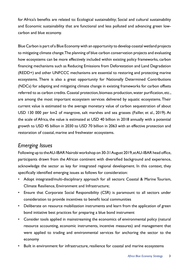for Africa's benefits are related to: Ecological sustainability; Social and cultural sustainability and Economic sustainability that are functional and less polluted and advancing green lowcarbon and blue economy.

Blue Carbon is part of a Blue Economy with an opportunity to develop coastal wetland projects to mitigating climate change. The planning of blue carbon conservation projects and evaluating how ecosystems can be more effectively included within existing policy frameworks, carbon financing mechanisms such as Reducing Emissions from Deforestation and Land Degradation (REDD+) and other UNFCCC mechanisms are essential to restoring and protecting marine ecosystems. There is also a great opportunity for Nationally Determined Contributions (NDCs) for adapting and mitigating climate change in existing frameworks for carbon offsets referred to as carbon credits. Coastal protection, biomass production, water purification, etc., are among the most important ecosystem services delivered by aquatic ecosystems. Their current value is estimated to the average monetary value of carbon sequestration of about USD 130 000 per km2 of mangrove, salt marshes and sea grasses (Failler, et al., 2019). At the scale of Africa, the value is estimated at USD 40 billion in 2018 annually with a potential growth to USD 45 billion in 2030 to USD 70 billion in 2063 with an effective protection and restoration of coastal, marine and freshwater ecosystems.

## *Emerging Issues*

Following up to the AU-IBAR Nairobi workshop on 30-31 August 2019, at AU-IBAR head office, participants drawn from the African continent with diversified background and experience, acknowledge the sector as key for integrated regional development. In this context, they specifically identified emerging issues as follows for consideration:

- Adopt integrated/multi-disciplinary approach for all sectors: Coastal & Marine Tourism, Climate Resilience, Environment and Infrastructure;
- Ensure that Corporate Social Responsibility (CSR) is paramount to all sectors under consideration to provide incentives to benefit local communities
- Deliberate on resource mobilization instruments and learn from the application of green bond initiative best practices for preparing a blue bond instrument
- Consider tools applied in mainstreaming the economics of environmental policy (natural resource accounting, economic instruments, incentive measures) and management that were applied to trading and environmental services for anchoring the sector to the economy
- Built in environment for infrastructure, resilience for coastal and marine ecosystems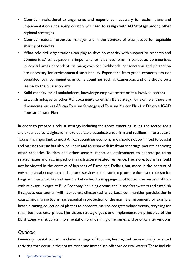- Consider institutional arrangements and experience necessary for action plans and implementation since every country will need to realign with AU Strategy among other regional strategies
- Consider natural resources management in the context of blue justice for equitable sharing of benefits
- What role civil organizations can play to develop capacity with support to research and communities' participation is important for blue economy. In particular, communities in coastal areas dependent on mangroves for livelihoods, conservation and protection are necessary for environmental sustainability. Experience from green economy has not benefited local communities in some countries such as Cameroon, and this should be a lesson to the blue economy.
- Build capacity for all stakeholders, knowledge empowerment on the involved sectors
- Establish linkages to other AU documents to enrich BE strategy. For example, there are documents such as African Tourism Strategy and Tourism Master Plan for Ethiopia, IGAD Tourism Master Plan

In order to prepare a robust strategy including the above emerging issues, the sector goals are expanded to weights for more equitable sustainable tourism and resilient infrastructure. Tourism is important to most African countries economy and should not be limited to coastal and marine tourism but also include inland tourism with freshwater, springs, mountains among other sceneries. Tourism and other sectors impact on environment to address pollution related issues and also impact on infrastructure related resilience. Therefore, tourism should not be viewed in the context of business of Euros and Dollars, but, more in the context of environmental, ecosystem and cultural services and ensure to promote domestic tourism for long-term sustainability and new market niche. The mapping-out of tourism resources in Africa with relevant linkages to Blue Economy including oceans and inland freshwaters and establish linkages to eco-tourism will incorporate climate resilience. Local communities' participation in coastal and marine tourism, is essential in protection of the marine environment for example, beach cleaning, collection of plastics to conserve marine ecosystem/biodiversity, recycling for small business enterprises. The vision, strategic goals and implementation principles of the BE strategy, will stipulate implementation plan defining timeframes and priority interventions.

## *Outlook*

Generally, coastal tourism includes a range of tourism, leisure, and recreationally oriented activities that occur in the coastal zone and immediate offshore coastal waters. These include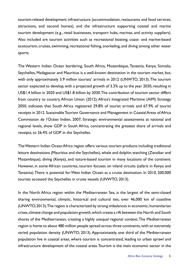tourism-related development infrastructure (accommodation, restaurants and food services, attractions, and second homes), and the infrastructure supporting coastal and marine tourism development (e.g., retail businesses, transport hubs, marinas, and activity suppliers). Also included are tourism activities such as recreational boating, coast- and marine-based ecotourism, cruises, swimming, recreational fishing, snorkeling, and diving among other water sports.

The Western Indian Ocean bordering, South Africa, Mozambique, Tanzania, Kenya, Somalia, Seychelles, Madagascar and Mauritius is a well-known destination in the tourism market, but, with only approximately 3.9 million tourists' arrivals in 2012 (UNWTO, 2013). The tourism sector expected to develop, with a projected growth of 3.3% up to the year 2030, resulting in US\$1.4 billion in 2020 and US\$1.8 billion by 2030. The contribution of tourism sector differs from country to country. African Union (2012), Africa's Integrated Maritime (AIM) Strategy 2050, indicates that South Africa registered 29.8% of tourist arrivals and 67.9% of tourist receipts in 2012. Sustainable Tourism Governance and Management in Coastal Areas of Africa Commission de l'Océan Indien, 2007, Strategic environmental assessments at national and regional levels, show GDP in South Africa, concentrating the greatest share of arrivals and receipts, to 26.4% of GDP in the Seychelles.

The Western Indian Ocean Africa region offers various tourism products including traditional leisure destinations (Mauritius and the Seychelles), whale and dolphin watching (Zanzibar and Mozambique), diving (Kenya), and nature-based tourism in many locations of the continent. However, in some African countries, tourism focuses on inland circuits (safaris in Kenya and Tanzania). There is potential for West Indian Ocean as a cruise destination. In 2010, 200,000 tourists accessed the Seychelles in cruise vessels (UNWTO, 2013).

In the North Africa region within the Mediterranean Sea, is the largest of the semi-closed sharing environmental, climatic, historical and cultural ties, over 46,000 km of coastline (UNWTO, 2013). The region is characterized by strong imbalances in economic, humanitarian crises, climate change and population growth, which create a rift between the North and South shores of the Mediterranean, creating a highly unequal regional context. The Mediterranean region is home to about 480 million people spread across three continents, with an extremely varied population density (UNWTO, 2013). Approximately, one third of the Mediterranean population live in coastal areas, where tourism is concentrated, leading to urban sprawl and infrastructure development of the coastal areas. Tourism is the main economic sector in the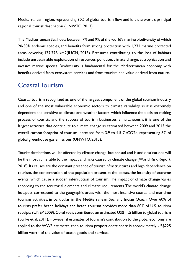Mediterranean region, representing 30% of global tourism flow and it is the world's principal regional tourist destination (UNWTO, 2013).

The Mediterranean Sea hosts between 7% and 9% of the world's marine biodiversity of which 20-30% endemic species, and benefits from strong protection with 1,231 marine protected areas covering 179,798 km2(IUCN, 2013). Pressures contributing to the loss of habitats include unsustainable exploitation of resources, pollution, climate change, eutrophication and invasive marine species. Biodiversity is fundamental for the Mediterranean economy, with benefits derived from ecosystem services and from tourism and value derived from nature.

## Coastal Tourism

Coastal tourism recognized as one of the largest component of the global tourism industry and one of the most vulnerable economic sectors to climate variability as it is extremely dependent and sensitive to climate and weather factors, which influence the decision-making process of tourists and the success of tourism businesses. Simultaneously, it is one of the largest activities that contribute to climate change as estimated between 2009 and 2013 the overall carbon footprint of tourism increased from 3.9 to 4.5 GtCO2e, representing 8% of global greenhouse gas emissions (UNWTO, 2013).

Tourist destinations will be affected by climate change, but coastal and island destinations will be the most vulnerable to the impact and risks caused by climate change (World Risk Report, 2018). Its causes are the constant presence of tourist infrastructures and high dependence on tourism, the concentration of the population present at the coasts, the intensity of extreme events, which cause a sudden interruption of tourism. The impact of climate change varies according to the territorial elements and climatic requirements. The world's climate change hotspots correspond to the geographic areas with the most intensive coastal and maritime tourism activities, in particular in the Mediterranean Sea, and Indian Ocean. Over 60% of tourists prefer beach holidays and beach tourism provides more than 80% of U.S. tourism receipts (UNEP 2009). Coral reefs contributed an estimated US\$11.5 billion to global tourism (Burke et al. 2011). However, if estimates of tourism's contribution to the global economy are applied to the WWF estimates, then tourism proportionate share is approximately US\$225 billion worth of the value of ocean goods and services.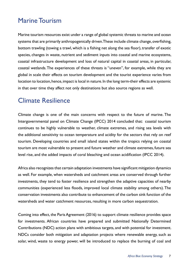## Marine Tourism

Marine tourism resources exist under a range of global systemic threats to marine and ocean systems that are primarily anthropogenically driven. These include climate change, overfishing, bottom trawling (towing a trawl, which is a fishing net along the sea floor), transfer of exotic species, changes in waste, nutrient and sediment inputs into coastal and marine ecosystems, coastal infrastructure development and loss of natural capital in coastal areas, in particular, coastal wetlands. The experiences of these threats is "uneven", for example, while they are global in scale their effects on tourism development and the tourist experience varies from location to location, hence, impact is local in nature. In the long term-their effects are systemic in that over time they affect not only destinations but also source regions as well.

## Climate Resilience

Climate change is one of the main concerns with respect to the future of marine. The Intergovernmental panel on Climate Change (IPCC) 2014 concluded that: coastal tourism continues to be highly vulnerable to weather, climate extremes, and rising sea levels with the additional sensitivity to ocean temperature and acidity for the sectors that rely on reef tourism. Developing countries and small island states within the tropics relying on coastal tourism are most vulnerable to present and future weather and climate extremes, future sea level rise, and the added impacts of coral bleaching and ocean acidification (IPCC 2014).

Africa also recognizes that certain adaptation investments have significant mitigation dynamics as well. For example, when watersheds and catchment areas are conserved through further investments, they tend to foster resilience and strengthen the adaptive capacities of nearby communities (experienced less floods, improved local climate stability among others). The conservation investments also contribute to enhancement of the carbon sink function of the watersheds and water catchment resources, resulting in more carbon sequestration.

Coming into effect, the Paris Agreement (2016) to support climate resilience provides space for investments. African countries have prepared and submitted Nationally Determined Contributions (NDC) action plans with ambitious targets, and with potential for investment. NDCs consider both mitigation and adaptation projects where renewable energy, such as solar, wind, waste to energy power, will be introduced to replace the burning of coal and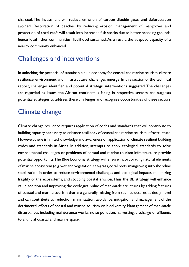charcoal. The investment will reduce emission of carbon dioxide gases and deforestation avoided. Restoration of beaches by reducing erosion, management of mangroves and protection of coral reefs will result into increased fish stocks due to better breeding grounds, hence local fisher communities' livelihood sustained. As a result, the adaptive capacity of a nearby community enhanced.

## Challenges and interventions

In unlocking the potential of sustainable blue economy for coastal and marine tourism, climate resilience, environment and infrastructure, challenges emerge. In this section of the technical report, challenges identified and potential strategic interventions suggested. The challenges are regarded as issues the African continent is facing in respective sectors and suggests potential strategies to address these challenges and recognize opportunities of these sectors.

# Climate change

Climate change resilience requires application of codes and standards that will contribute to building capacity necessary to enhance resiliency of coastal and marine tourism infrastructure. However, there is limited knowledge and awareness on application of climate resilient building codes and standards in Africa. In addition, attempts to apply ecological standards to solve environmental challenges or problems of coastal and marine tourism infrastructure provide potential opportunity. The Blue Economy strategy will ensure incorporating natural elements of marine ecosystem (e.g. wetland vegetation; sea-grass, coral reefs, mangroves) into shoreline stabilization in order to reduce environmental challenges and ecological impacts, minimizing fragility of the ecosystems, and stopping coastal erosion. Thus the BE strategy will enhance value addition and improving the ecological value of man-made structures by adding features of coastal and marine tourism that are generally missing from such structures at design level and can contribute to reduction, minimization, avoidance, mitigation and management of the detrimental effects of coastal and marine tourism on biodiversity. Management of man-made disturbances including maintenance works; noise pollution; harvesting; discharge of effluents to artificial coastal and marine space.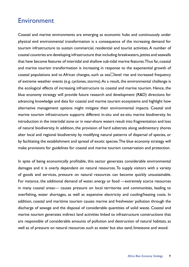## Environment

Coastal and marine environments are emerging as economic hubs and continuously under physical end environmental transformation is a consequence of the increasing demand for tourism infrastructure to sustain commercial, residential and tourist activities. A number of coastal countries are developing infrastructure that including: breakwaters, jetties and seawalls that have become features of intertidal and shallow sub-tidal marine features. Thus far, coastal and marine tourism transformation is increasing in response to the exponential growth of coastal populations and to African changes, such as sea $\Box$  level rise and increased frequency of extreme weather events (e.g. cyclones, storms). As a result, the environmental challenge is the ecological effects of increasing infrastructure to coastal and marine tourism. Hence, the blue economy strategy will provide future research and development (R&D) directions for advancing knowledge and data for coastal and marine tourism ecosystems and highlight how alternative management options might mitigate their environmental impacts. Coastal and marine tourism infrastructure supports different in-situ and ex-situ marine biodiversity. Its introduction in the intertidal zone or in near-shore waters result into fragmentation and loss of natural biodiversity. In addition, the provision of hard substrata along sedimentary shores alter local and regional biodiversity by modifying natural patterns of dispersal of species, or by facilitating the establishment and spread of exotic species. The blue economy strategy will make provisions for guidelines for coastal and marine tourism conservation and protection.

In spite of being economically profitable, this sector generates considerable environmental damages and it is overly dependent on natural resources. To supply visitors with a variety of goods and services, pressure on natural resources can become quickly unsustainable. For instance, the additional demand of water, energy or food —extremely scarce resources in many coastal areas— causes pressure on local territories and communities, leading to overfishing, water shortages, as well as expensive electricity and cooling/heating costs. In addition, coastal and maritime tourism causes marine and freshwater pollution through the discharge of sewage and the disposal of considerable quantities of solid waste. Coastal and marine tourism generates indirect land activities linked to infrastructure constructions that are responsible of considerable amounts of pollution and destruction of natural habitats, as well as of pressure on natural resources such as water but also sand, limestone and wood.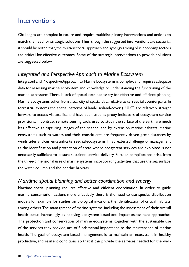## Interventions

Challenges are complex in nature and require multidisciplinary interventions and actions to match the need for strategic solutions. Thus, though the suggested interventions are sectorial, it should be noted that, the multi-sectoral approach and synergy among blue economy sectors are critical for effective outcomes. Some of the strategic interventions to provide solutions are suggested below.

## *Integrated and Perspective Approach to Marine Ecosystem*

Integrated and Prospective Approach to Marine Ecosystems is complex and requires adequate data for assessing marine ecosystem and knowledge to understanding the functioning of the marine ecosystem. There is lack of spatial data necessary for effective and efficient planning. Marine ecosystems suffer from a scarcity of spatial data relative to terrestrial counterparts. In terrestrial systems the spatial patterns of land-use/land-cover (LULC) are relatively straight forward to access via satellite and have been used as proxy indicators of ecosystem service provisions. In contrast, remote sensing tools used to study the surface of the earth are much less effective at capturing images of the seabed, and by extension marine habitats. Marine ecosystems such as waters and their constituents are frequently driven great distances by winds, tides, and currents unlike terrestrial ecosystems. This creates a challenge for management as the identification and protection of areas where ecosystem services are exploited is not necessarily sufficient to ensure sustained service delivery. Further complications arise from the three-dimensional uses of marine systems, incorporating activities that use the sea surface, the water column and the benthic habitats.

## *Maritime spatial planning and better coordination and synergy*

Martime spatial planning requires effective and efficient coordination. In order to guide marine conservation actions more effectively, there is the need to use species distribution models for example for studies on biological invasions, the identification of critical habitats, among others. The management of marine systems, including the assessment of their overall health status increasingly by applying ecosystem-based and impact assessment approaches. The protection and conservation of marine ecosystems, together with the sustainable use of the services they provide, are of fundamental importance to the maintenance of marine health. The goal of ecosystem-based management is to maintain an ecosystem in healthy, productive, and resilient conditions so that it can provide the services needed for the well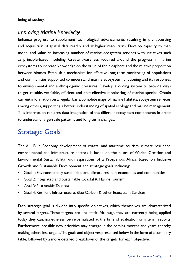being of society.

## *Improving Marine Knowledge*

Enhance progress to supplement technological advancements resulting in the accessing and acquisition of spatial data readily and at higher resolutions. Develop capacity to map, model and value an increasing number of marine ecosystem services with initiatives such as principle-based modeling. Create awareness required around the progress in marine ecosystems to increase knowledge on the value of the biosphere and the relative proportion between biomes. Establish a mechanism for effective long-term monitoring of populations and communities supported to understand marine ecosystem functioning and its responses to environmental and anthropogenic pressures. Develop a coding system to provide ways to get reliable, verifiable, efficient and cost-effective monitoring of marine species. Obtain current information on a regular basis, complete maps of marine habitats, ecosystem services, among others, supporting a better understanding of spatial ecology and marine management. This information requires data integration of the different ecosystem components in order to understand large-scale patterns and long-term changes.

# Strategic Goals

The AU Blue Economy development of coastal and maritime tourism, climate resilience, environmental and infrastructure sectors is based on the pillars of Wealth Creation and Environmental Sustainability with aspirations of a Prosperous Africa, based on Inclusive Growth and Sustainable Development and strategic goals including:

- Goal 1: Environmentally sustainable and climate resilient economies and communities
- Goal 2: Integrated and Sustainable Coastal & Marine Tourism
- Goal 3: Sustainable Tourism
- Goal 4: Resilient Infrastructure, Blue Carbon & other Ecosystem Services

Each strategic goal is divided into specific objectives, which themselves are characterized by several targets. These targets are not static. Although they are currently being applied today they can, nonetheless, be reformulated at the time of evaluation or interim reports. Furthermore, possible new priorities may emerge in the coming months and years, thereby making others less urgent. The goals and objectives presented below in the form of a summary table, followed by a more detailed breakdown of the targets for each objective.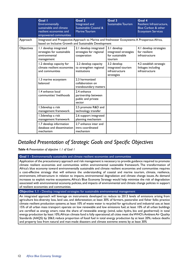|                   | Goal I<br>Environmentally<br>sustainable and climate<br>resilient economies and<br>empowered communities                                               | Goal 2<br>Integrated and<br>Sustainable Coastal &<br>Marine Tourism | Goal 3<br>Sustainable Tourism                                      | Goal 4<br>Resilient Infrastructure,<br><b>Blue Carbon &amp; other</b><br><b>Ecosystem Services</b> |
|-------------------|--------------------------------------------------------------------------------------------------------------------------------------------------------|---------------------------------------------------------------------|--------------------------------------------------------------------|----------------------------------------------------------------------------------------------------|
| Approach          | Integrated and Prospective Approach to Marine and freshwater Ecosystems: A Prosperous Africa,<br>based on Inclusive Growth and Sustainable Development |                                                                     |                                                                    |                                                                                                    |
| <b>Objectives</b> | 1.1 develop integrated<br>strategies for sustainable<br>environmental<br>management                                                                    | 2.1 develop integrated<br>strategies for regional<br>cooperation    | 3.1 develop<br>integrated strategies<br>for sustainable<br>tourism | 4.1 develop strategies<br>for resilient<br>infrastructure                                          |
|                   | 1.2 develop capacity for<br>climate resilient economies<br>and communities                                                                             | 2.2 develop capacity<br>to strengthen regional<br>institutions      | 3.2 develop<br>integrated tourism<br>infrastructure<br>strategies  | 4.2 establish strategic<br>linkages including<br>infrastructure                                    |
|                   | 1.3 marine ecosystem<br>balanced                                                                                                                       | 2.3 harmonized<br>collaboration on<br>transboundary matters         |                                                                    |                                                                                                    |
|                   | 1.4 enhance local<br>communities' livelihoods                                                                                                          | 2.4 enhance<br>partnership between<br>public and private<br>sector  |                                                                    |                                                                                                    |
|                   | 1.5 develop a risk<br>management framework                                                                                                             | 2.5 promote R&D and<br>technology transfer                          |                                                                    |                                                                                                    |
|                   | 1.5 develop a risk<br>management framework                                                                                                             | 2.6 support integrated<br>planning mechanism                        |                                                                    |                                                                                                    |
|                   | 1.7 develop information<br>database and dissemination<br>mechanism                                                                                     | 2.7 enhance inter and<br>intra coordinated<br>mechanism             |                                                                    |                                                                                                    |

## *Detailed Presentation of Strategic Goals and Specific Objectives*

*Table 4: Presentation of objective 1.1 of Goal 1*

**Goal 1 -** Environmentally sustainable and climate resilient economies and communities

Application of the precautionary approach and risk management is necessary to provide guidance required to promote climate resilient economies and communities within environmental sustainable framework. The transformation of Africa's blue economy toward environmentally sustainable and climate resilient economies and communities requires a cost-effective strategy that will enhance the understanding of coastal and marine tourism, climate, resilience, environment, infrastructure in relation to impacts, environmental degradation and climate change issues. As demand increases to exploit marine ecosystems, Africa's Blue Economy Strategy would help minimize the risk of degradation associated with environmental economy policies, and impacts of environmental and climate change policies in support of resilient economies and communities.

#### **Objective 1.1 -** Develop integrated strategies for sustainable environmental management

An integrated approach will leverage on instruments developed to: reduce to 2013 levels of emissions arising from agriculture bio-diversity loss, land use, and deforestation; at least 30% of farmers, pastoralist and fisher folks practice climate resilient production systems; at least 10% of waste water is recycled for agricultural and industrial use; at least 15% of all urban mass transport operate on low renewable and low emissions fuel; at least 10% of all urban buildings are certified as energy smart; raise the share of renewable energy (wind, solar, hydro, bio and geothermal) in total energy production by least 10%; African climate fund is fully operational; all cities meet the WHO's Ambient Air Quality Standards (AAQS) by 2063; reduce proportion of fossil fuel in total energy production by at least 20%; reduce deaths and property loss from natural and man-made disasters and climate extreme events by at least 30%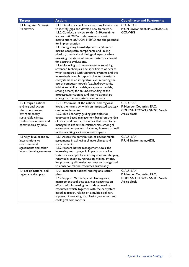| <b>Targets</b>                                                                                                                                                | <b>Actions</b>                                                                                                                                                                                                                                                                                                                                                                                                                                                                                                                                                                                                                                                                                                                                                                                                                                                                                                                                                                                    | <b>Coordinator and Partnership</b>                                                     |
|---------------------------------------------------------------------------------------------------------------------------------------------------------------|---------------------------------------------------------------------------------------------------------------------------------------------------------------------------------------------------------------------------------------------------------------------------------------------------------------------------------------------------------------------------------------------------------------------------------------------------------------------------------------------------------------------------------------------------------------------------------------------------------------------------------------------------------------------------------------------------------------------------------------------------------------------------------------------------------------------------------------------------------------------------------------------------------------------------------------------------------------------------------------------------|----------------------------------------------------------------------------------------|
| 1.1 Integrated Strategic<br>Framework                                                                                                                         | 1.1.1 Develop a checklist on existing frameworks<br>to identify gaps and develop new framework<br>1.1.2 Conduct a review (within 5-10year time-<br>frames until 2065) to determine strategic<br>interventions of AUDA-NEPAD and the potential<br>for implementation<br>1.1.3 Integrating knowledge across different<br>marine ecosystem components and linking<br>physical, chemical and biological aspects when<br>assessing the status of marine systems as crucial<br>for accurate evaluations.<br>1.1.4 Modelling marine ecosystems requiring<br>advanced techniques. The specificities of oceans<br>when compared with terrestrial systems and the<br>increasingly complex approaches to investigate<br>ecosystems at an integrative level requiring the<br>use of computer models (e.g., hydrodynamic,<br>habitat suitability models, ecosystem models,<br>among others) for an understanding of the<br>processes, functioning and interrelationships<br>among marine ecosystem components. | C: AU-IBAR<br>P: UN Environment, IMO, AfDB, GEF,<br>GCF, WBG                           |
| 1.2 Design a national<br>and regional action<br>plan to ensure an<br>environmentally<br>sustainable climate<br>resilient economies and<br>communities by 2065 | 1.2.1 Determine, at the national and regional<br>levels, the means by which an integrated strategy<br>can be implemented<br>1.2.2 Blue Economy guiding principles for<br>ecosystem-based management based on the idea<br>of ocean and coastal resources that need to be<br>managed to reflect the relationships among all<br>ecosystem components, including humans, as well<br>as the resulting socioeconomic impacts.                                                                                                                                                                                                                                                                                                                                                                                                                                                                                                                                                                           | C: AU-IBAR<br>P: Member Countries; EAC,<br>COMESA, ECOWAS, SADC, North<br>Africa block |
| 1.3 Align blue economy<br>interventions to<br>environmental<br>agreements and other<br>international agreements                                               | 1.3.1 Assess the contribution of environmental<br>agreements in achieving climate change and<br>social benefits.<br>1.3.2 Prepare better management tools, the<br>increasing anthropogenic impacts on marine<br>water for example fisheries, aquaculture, shipping,<br>renewable energies, recreation, mining, among,<br>for promoting discussion on how to manage and<br>to conserve marine resources sustainably.                                                                                                                                                                                                                                                                                                                                                                                                                                                                                                                                                                               | C: AU-IBAR<br>P: UN Environment, AfDB,                                                 |
| 1.4 Set up national and<br>regional action plans                                                                                                              | 1.4.1 Implement national and regional action<br>plans<br>1.4.2 Support Marine Spatial Planning, as a<br>management tool that balances conservation<br>efforts with increasing demands on marine<br>resources, which, together with the ecosystem-<br>based approach, relying on a multidisciplinary<br>approach integrating sociological, economic and<br>ecological components.                                                                                                                                                                                                                                                                                                                                                                                                                                                                                                                                                                                                                  | C: AU-IBAR<br>P: Member Countries; EAC,<br>COMESA, ECOWAS, SADC, North<br>Africa block |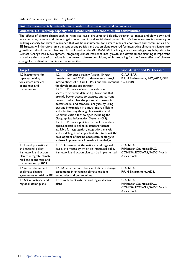#### **Goal 1 -** Environmentally sustainable and climate resilient economies and communities **Objective 1.2 - Develop capacity for climate resilient economies and communities**

The effects of climate change such as rising sea-levels, droughts and floods, threaten to impact and slow down and in some cases, reverse and diminish gains in economic and social development. Africa's blue economy is necessary in building capacity for climate resilience that will be instrumental for climate resilient economies and communities. The BE Strategy, will therefore, assist in supporting policies and action plans required for integrating climate resilience into growth and development planning. This will build on the AUDA-NEPAD policy guidance on Integrating Adaptation to Climate Change into Development. Integrating climate resilience into growth and development planning is important to reduce the costs of variations in the current climate conditions, while preparing for the future effects of climate change for resilient economies and communities.

| <b>Targets</b>                                                                                                                                       | <b>Actions</b>                                                                                                                                                                                                                                                                                                                                                                                                                                                                                                                                                                                                                                                                                                                                                                                                                                                                                                     | <b>Coordinator and Partnership</b>                                                     |
|------------------------------------------------------------------------------------------------------------------------------------------------------|--------------------------------------------------------------------------------------------------------------------------------------------------------------------------------------------------------------------------------------------------------------------------------------------------------------------------------------------------------------------------------------------------------------------------------------------------------------------------------------------------------------------------------------------------------------------------------------------------------------------------------------------------------------------------------------------------------------------------------------------------------------------------------------------------------------------------------------------------------------------------------------------------------------------|----------------------------------------------------------------------------------------|
| 1.2 Instruments for<br>capacity building<br>for climate resilient<br>economies and<br>communities                                                    | 1.2.1<br>Conduct a review (within 10 year<br>time-frames until 2063) to determine strategic<br>interventions of AUDA-NEPAD and the potential<br>for development cooperation<br>Promote efforts towards open<br>1.2.2<br>access to scientific data and publications that<br>provide better access to datasets and current<br>research, which has the potential to result in<br>better spatial and temporal analyses, by using<br>existing information in a much more efficient<br>and effective way through Information and<br>Communication Technologies including the<br>Geographical Information Systems (GIS).<br>Promote policies that will make data<br>1.2.3<br>open, accessible online in standard format<br>available for aggregation, integration, analysis<br>and modeling, as an important step to boost the<br>development of marine ecosystem ecology, to<br>address improvement in marine knowledge. | C: AU-IBAR<br>P: UN Environment, IMO, AfDB, GEF,<br>GCF, WBG                           |
| 1.3 Develop a national<br>and regional policy<br>framework and action<br>plan to integrate climate<br>resilient economies and<br>communities by 2063 | 1.3.2 Determine, at the national and regional<br>levels, the means by which an integrated policy<br>framework and action plan can be implemented                                                                                                                                                                                                                                                                                                                                                                                                                                                                                                                                                                                                                                                                                                                                                                   | C: AU-IBAR<br>P: Member Countries; EAC,<br>COMESA, ECOWAS, SADC, North<br>Africa block |
| 1.4 Assess the impact<br>of climate change<br>agreements on Africa's BE                                                                              | 1.4.3 Assess the contribution of climate change<br>agreements in enhancing climate resilient<br>economies and communities.                                                                                                                                                                                                                                                                                                                                                                                                                                                                                                                                                                                                                                                                                                                                                                                         | C: AU-IBAR<br>P: UN Environment, AfDB,                                                 |
| 1.5 Set up national and<br>regional action plans                                                                                                     | 1.5.4 Implement national and regional action<br>plans                                                                                                                                                                                                                                                                                                                                                                                                                                                                                                                                                                                                                                                                                                                                                                                                                                                              | C: AU-IBAR<br>P: Member Countries; EAC,<br>COMESA, ECOWAS, SADC, North<br>Africa block |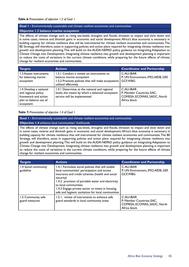#### **Goal 1 -** Environmentally sustainable and climate resilient economies and communities

#### **Objective 1.3 balance marine ecosystem**

The effects of climate change such as rising sea-levels, droughts and floods, threaten to impact and slow down and in some cases, reverse and diminish gains in economic and social development. Africa's blue economy is necessary in building capacity for climate resilience that will be instrumental for climate resilient economies and communities. The BE Strategy, will therefore, assist in supporting policies and action plans required for integrating climate resilience into growth and development planning. This will build on the AUDA-NEPAD policy guidance on Integrating Adaptation to Climate Change into Development. Integrating climate resilience into growth and development planning is important to reduce the costs of variations in the current climate conditions, while preparing for the future effects of climate change for resilient economies and communities.

| <b>Targets</b>                                                                                               | <b>Actions</b>                                                                                                                                   | <b>Coordinator and Partnership</b>                                                      |
|--------------------------------------------------------------------------------------------------------------|--------------------------------------------------------------------------------------------------------------------------------------------------|-----------------------------------------------------------------------------------------|
| 1.3 Assess instruments<br>for balancing marine<br>ecosystem                                                  | 1.3.1 Conduct a review on instruments to<br>balance marine ecosystem<br>1.3.2 Promote policies that will make ecosystems<br>utilized effectively | C: AU-IBAR<br>P: UN Environment, IMO, AfDB, GEF,<br><b>GCF, WBG</b>                     |
| 1.4 Develop a national<br>and regional policy<br>framework and action<br>plan to balance use of<br>ecosystem | 1.4.1 Determine, at the national and regional<br>levels, the means by which a balanced ecosystem<br>service will be implemented                  | $C:AU-IBAR$<br>P: Member Countries; EAC,<br>COMESA, ECOWAS, SADC, North<br>Africa block |

#### *Table 7: Presentation of objective 1.4 of Goal 1*

#### **Goal 1 -** Environmentally sustainable and climate resilient economies and communities

#### **Objective 1.4** enhance local communities' livelihoods

The effects of climate change such as rising sea-levels, droughts and floods, threaten to impact and slow down and in some cases, reverse and diminish gains in economic and social development. Africa's blue economy is necessary in building capacity for climate resilience that will instrumental for climate resilient economies and communities. The BE Strategy, will therefore, assist in supporting policies and action plans required for integrating climate resilience into growth and development planning. This will build on the AUDA-NEPAD policy guidance on Integrating Adaptation to Climate Change into Development. Integrating climate resilience into growth and development planning is important to reduce the costs of variations in the current climate conditions, while preparing for the future effects of climate change for resilient economies and communities.

| <b>Targets</b>                       | <b>Actions</b>                                                                                                                                                                                                                                                                                                                                          | <b>Coordinator and Partnership</b>                                                      |
|--------------------------------------|---------------------------------------------------------------------------------------------------------------------------------------------------------------------------------------------------------------------------------------------------------------------------------------------------------------------------------------------------------|-----------------------------------------------------------------------------------------|
| 1.4 Social community<br>guideline    | 1.4.1 Formulate social policies that will enable<br>local communities' participation and access<br>insurance and credit schemes (health and social<br>security)<br>1.4.2 provision of portable water and electricity<br>to local communities<br>1.4.3 Engage private sector to invest in housing,<br>safe and hygienic sanitation for local communities | C: AU-IBAR<br>P: UN Environment, IMO, AfDB, GEF,<br>GCF, WBG                            |
| 1.5 Community safe<br>guard measures | 1.5.1. review of instruments to enhance safe<br>guard standards in local community areas                                                                                                                                                                                                                                                                | $C:AU-IBAR$<br>P: Member Countries; EAC,<br>COMESA, ECOWAS, SADC, North<br>Africa block |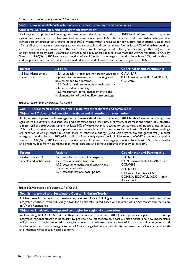#### *Table 8: Presentation of objective of 1.5 of Goal 1*

#### **Goal 1 -** Environmentally sustainable and climate resilient economies and communities

#### **Objective 1.5 develop a risk management framework**

An integrated approach will leverage on instruments developed to: reduce to 2013 levels of emissions arising from agriculture bio-diversity loss, land use, and deforestation; at least 30% of farmers, pastoralist and fisher folks practice climate resilient production systems; at least 10% of waste water is recycled for agricultural and industrial use; at least 15% of all urban mass transport operate on low renewable and low emissions fuel; at least 10% of all urban buildings are certified as energy smart; raise the share of renewable energy (wind, solar, hydro, bio and geothermal) in total energy production by least 10%; African climate fund is fully operational; all cities meet the WHO's Ambient Air Quality Standards (AAQS) by 2063; reduce proportion of fossil fuel in total energy production by at least 20%; reduce deaths and property loss from natural and man-made disasters and climate extreme events by at least 30%

| <b>Targets</b>                   | <b>Actions</b>                                                                                                                                                                                                                                                                                                       | <b>Coordinator and Partnership</b>                                 |
|----------------------------------|----------------------------------------------------------------------------------------------------------------------------------------------------------------------------------------------------------------------------------------------------------------------------------------------------------------------|--------------------------------------------------------------------|
| 1.5 Risk Management<br>Framework | 1.5.1. establish risk management policy, stipulating  <br>approach to risk management, reporting, and<br>how to embed to operations<br>1.5.2 Define a risk assessment criteria and risk<br>tolerance and acceptability<br>1.5.3 realignment of risk management to the<br>implementation of the Blue Economy strategy | C: AU-IBAR<br>P: UN Environment, IMO, AfDB, GEF,<br><b>GCF.WBG</b> |

#### *Table 9: Presentation of objective 1.7 Goal 1*

**Goal 1 -** Environmentally sustainable and climate resilient economies and communities **Objective 1.7 develop information database and dissemination mechanism**

An integrated approach will leverage on instruments developed to: reduce to 2013 levels of emissions arising from agriculture bio-diversity loss, land use, and deforestation; at least 30% of farmers, pastoralist and fisher folks practice climate resilient production systems; at least 10% of waste water is recycled for agricultural and industrial use; at least 15% of all urban mass transport operate on low renewable and low emissions fuel; at least 10% of all urban buildings are certified as energy smart; raise the share of renewable energy (wind, solar, hydro, bio and geothermal) in total energy production by least 10%; African climate fund is fully operational; all cities meet the WHO's ambient air quality standards (AAQS) by 2063; reduce proportion of fossil fuel in total energy production by at least 20%; reduce deaths and property loss from natural and man-made disasters and climate extreme events by at least 30%

| <b>Targets</b>                                 | <b>Actions</b>                                                                                                             | <b>Coordinator and Partnership</b>                                                     |
|------------------------------------------------|----------------------------------------------------------------------------------------------------------------------------|----------------------------------------------------------------------------------------|
| 1.7 database on BE<br>experts and institutions | 1.7.1 establish a roster of BE experts<br>1.7.2 review of institutions on BE<br>1.7.3 determine institutional capacity and | C: AU-IBAR<br>P: UN Environment, IMO, AfDB, GEF,<br><b>GCF.WBG</b>                     |
|                                                | strengthen mechanism<br>1.7.4 establish national focal points                                                              | C: AU-IBAR<br>P: Member Countries; EAC,<br>COMESA, ECOWAS, SADC, North<br>Africa block |

#### *Table 10: Presentation of objective 2.1 of Goal 2*

#### **Goal 2: Integrated and Sustainable Coastal & Marine Tourism**

AU has been instrumental in spearheading a united Africa. Building up on this momentum is a motivation of an integrated continent with political goodwill for a politically united, based on the ideals of Pan Africanism and the vision of Africa's Renaissance

#### **Objective 2.1-develop integrated strategies for regional cooperation**

Implementing AUDA/NEPAD at the Regional Economic Community (REC) level, provides a platform to develop integrated regional strategies necessary to provide new mechanism to boost a united Africa. The new mechanisms will promote strategies required at a regional level to: eradicate poverty; place Africa on a sustainable growth and development path; reduce marginalisation of Africa in a global process, accelerate empowerment of women and youth and integrate Africa into a global economy.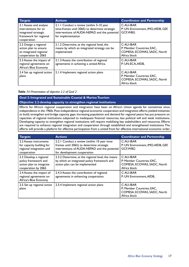| <b>Targets</b>                                                                                                  | <b>Actions</b>                                                                                                                                                    | <b>Coordinator and Partnership</b>                                                     |
|-----------------------------------------------------------------------------------------------------------------|-------------------------------------------------------------------------------------------------------------------------------------------------------------------|----------------------------------------------------------------------------------------|
| 2.1 Assess and analyse<br>interventions for an<br>integrated strategic<br>framework for regional<br>cooperation | 2.1.1 Conduct a review (within 5-10 year<br>time-frames until 2065) to determine strategic<br>interventions of AUDA-NEPAD and the potential<br>for implementation | C: AU-IBAR<br>P: UN Environment, IMO, AfDB, GEF,<br><b>GCF, WBG</b>                    |
| 2.2 Design a regional<br>action plan to ensure<br>an integrated regional<br>cooperation by 2065                 | 2.1.2 Determine, at the regional level, the<br>means by which an integrated strategy can be<br>implemented                                                        | C: AU-IBAR<br>P: Member Countries; EAC,<br>COMESA, ECOWAS, SADC, North<br>Africa block |
| 2.3 Assess the impact of<br>regional agreements on<br>Africa's Blue Economy                                     | 2.1.3 Assess the contribution of regional<br>agreements in achieving a united Africa.                                                                             | C: AU-IBAR<br>P: UN-ECA, AfDB,                                                         |
| 2.4 Set up regional action<br>plans                                                                             | 2.1.4 Implement regional action plans                                                                                                                             | C: AU-IBAR<br>P: Member Countries; EAC,<br>COMESA, ECOWAS, SADC, North<br>Africa block |

#### *Table 11: Presentation of objective 2.2 of Goal 2*

#### **Goal 2: Integrated and Sustainable Coastal & Marine Tourism Objective 2.2-develop capacity to strengthen regional institutions**

Efforts for Africa's regional cooperation and integration have been on Africa's Union agenda for sometimes since independence in the 1960s. Post-independence regional economic cooperation and integration efforts yielded initiatives to build, strengthen and bridge capacity gaps. Increasing population and demand for regional peace has put pressure on capacities of regional institutions subjected to inadequate financial resources, less political will and weak institutions. Developing capacity to strengthen regional institutions will require mobilizing key stakeholders and resources. Efforts are required to enhance regional integration and cooperation through established and strengthened institutions. The efforts will provide a platform for effective participation from a united front for effective international economic order.

| <b>Targets</b>                                                                                    | <b>Actions</b>                                                                                                                                                            | <b>Coordinator and Partnership</b>                                                     |
|---------------------------------------------------------------------------------------------------|---------------------------------------------------------------------------------------------------------------------------------------------------------------------------|----------------------------------------------------------------------------------------|
| 2.2 Assess instruments<br>for capacity building for<br>regional integration and<br>cooperation    | 2.2.1 Conduct a review (within 10 year time-<br>frames until 2065) to determine strategic<br>interventions of AUDA-NEPAD and the potential<br>for development cooperation | $C:$ AU-IBAR<br>P: UN Environment, IMO, AfDB, GEF,<br>GCF, WBG                         |
| 2.3 Develop a regional<br>policy framework and<br>action plan to integrate<br>cooperation by 2065 | 2.3.2 Determine, at the regional level, the means<br>by which an integrated policy framework and<br>action plan can be implemented                                        | C: AU-IBAR<br>P: Member Countries; EAC,<br>COMESA, ECOWAS, SADC, North<br>Africa block |
| 2.4 Assess the impact of<br>regional agreements on<br>Africa's Blue Economy                       | 2.4.3 Assess the contribution of regional<br>agreements in enhancing cooperation.                                                                                         | C: AU-IBAR<br>P: UN Environment, AfDB,                                                 |
| 2.5 Set up regional action<br>plans                                                               | 2.5.4 Implement regional action plans                                                                                                                                     | C: AU-IBAR<br>P: Member Countries; EAC,<br>COMESA, ECOWAS, SADC, North<br>Africa block |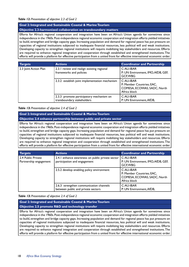#### *Table 12: Presentation of objective 2.3 of Goal 2*

#### **Goal 2: Integrated and Sustainable Coastal & Marine Tourism**

#### **Objective 2.3-harmonized collaboration on transboundary matters**

Efforts for Africa's regional cooperation and integration have been on Africa's Union agenda for sometimes since independence in the 1960s. Post-independence regional economic cooperation and integration efforts yielded initiatives to build, strengthen and bridge capacity gaps. Increasing population and demand for regional peace has put pressure on capacities of regional institutions subjected to inadequate financial resources, less political will and weak institutions. Developing capacity to strengthen regional institutions will require mobilizing key stakeholders and resources. Efforts are required to enhance regional integration and cooperation through established and strengthened institutions. The efforts will provide a platform for effective participation from a united front for effective international economic order.

| <b>Targets</b>        | <b>Actions</b>                                                         | <b>Coordinator and Partnership</b>                                                     |
|-----------------------|------------------------------------------------------------------------|----------------------------------------------------------------------------------------|
| 2.3 Joint Action Plan | 2.3.1 review and realign existing regional<br>frameworks and policies  | C: AU-IBAR<br>P: UN Environment, IMO, AfDB, GEF,<br>GCF, WBG                           |
|                       | 2.3.2 establish joint implementation mechanism                         | C: AU-IBAR<br>P: Member Countries; EAC,<br>COMESA, ECOWAS, SADC, North<br>Africa block |
|                       | 2.3.3 promote participatory mechanism on<br>transboundary stakeholders | C: AU-IBAR<br>P: UN Environment, AfDB,                                                 |

#### *Table 13: Presentation of objective 2.4 of Goal 2*

#### **Goal 2: Integrated and Sustainable Coastal & Marine Tourism Objective 2.4 enhance partnership between public and private sector**

Efforts for Africa's regional cooperation and integration have been on Africa's Union agenda for sometimes since independence in the 1960s. Post-independence regional economic cooperation and integration efforts yielded initiatives to build, strengthen and bridge capacity gaps. Increasing population and demand for regional peace has put pressure on capacities of regional institutions subjected to inadequate financial resources, less political will and weak institutions. Developing capacity to strengthen regional institutions will require mobilizing key stakeholders and resources. Efforts are required to enhance regional integration and cooperation through established and strengthened institutions. The efforts will provide a platform for effective participation from a united front for effective international economic order.

| <b>Targets</b>                               | <b>Actions</b>                                                                   | <b>Coordinator and Partnership</b>                                                     |
|----------------------------------------------|----------------------------------------------------------------------------------|----------------------------------------------------------------------------------------|
| 2.4 Public Private<br>Partnership engagement | 2.4.1 enhance awareness on public private sector<br>participation and engagement | $C:AU-IBAR$<br>P: UN Environment, IMO, AfDB, GEF,<br>GCF, WBG                          |
|                                              | 2.5.2 develop enabling policy environment                                        | C: AU-IBAR<br>P: Member Countries; EAC,<br>COMESA, ECOWAS, SADC, North<br>Africa block |
|                                              | 2.6.3 strengthen communication channels<br>between public and private sectors    | C: AU-IBAR<br>P: UN Environment, AfDB,                                                 |

#### *Table 13: Presentation of objective 2.4 of Goal 2*

#### **Goal 2: Integrated and Sustainable Coastal & Marine Tourism**

#### **Objective 2.5 promote R&D and technology transfer**

Efforts for Africa's regional cooperation and integration have been on Africa's Union agenda for sometimes since independence in the 1960s. Post-independence regional economic cooperation and integration efforts yielded initiatives to build, strengthen and bridge capacity gaps. Increasing population and demand for regional peace has put pressure on capacities of regional institutions subjected to inadequate financial resources, less political will and weak institutions. Developing capacity to strengthen regional institutions will require mobilizing key stakeholders and resources. Efforts are required to enhance regional integration and cooperation through established and strengthened institutions. The efforts will provide a platform for effective participation from a united front for effective international economic order.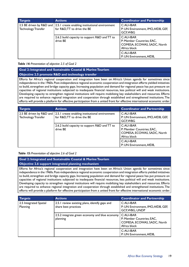| <b>Targets</b>      | <b>Actions</b>                                                                                          | <b>Coordinator and Partnership</b>                                                     |
|---------------------|---------------------------------------------------------------------------------------------------------|----------------------------------------------------------------------------------------|
| Technology Transfer | 2.5 BE driven by R&D and 2.5.1 create enabling institutional environment<br>for R&D, TT to drive the BE | C: AU-IBAR<br>P: UN Environment, IMO, AfDB, GEF,<br>GCF, WBG                           |
|                     | 2.6.2 build capacity to support R&D and TT to<br>drive BE                                               | C: AU-IBAR<br>P: Member Countries; EAC,<br>COMESA, ECOWAS, SADC, North<br>Africa block |
|                     |                                                                                                         | C: AU-IBAR<br>P: UN Environment, AfDB,                                                 |

#### *Table 14: Presentation of objective 2.5 of Goal 2*

#### **Goal 2: Integrated and Sustainable Coastal & Marine Tourism**

#### **Objective 2.5 promote R&D and technology transfer**

Efforts for Africa's regional cooperation and integration have been on Africa's Union agenda for sometimes since independence in the 1960s. Post-independence regional economic cooperation and integration efforts yielded initiatives to build, strengthen and bridge capacity gaps. Increasing population and demand for regional peace has put pressure on capacities of regional institutions subjected to inadequate financial resources, less political will and weak institutions. Developing capacity to strengthen regional institutions will require mobilizing key stakeholders and resources. Efforts are required to enhance regional integration and cooperation through established and strengthened institutions. The efforts will provide a platform for effective participation from a united front for effective international economic order.

| <b>Targets</b>             | <b>Actions</b>                                                                                          | <b>Coordinator and Partnership</b>                                                      |
|----------------------------|---------------------------------------------------------------------------------------------------------|-----------------------------------------------------------------------------------------|
| <b>Technology Transfer</b> | 2.5 BE driven by R&D and 2.5.1 create enabling institutional environment<br>for R&D, TT to drive the BE | C: AU-IBAR<br>P: UN Environment, IMO, AfDB, GEF,<br><b>GCF.WBG</b>                      |
|                            | 2.6.2 build capacity to support R&D and TT to<br>drive BE                                               | $C:AU-IBAR$<br>P: Member Countries; EAC,<br>COMESA, ECOWAS, SADC, North<br>Africa block |
|                            |                                                                                                         | $C:AU-IBAR$<br>P: UN Environment, AfDB,                                                 |

#### *Table 15: Presentation of objective 2.6 of Goal 2*

#### **Goal 2: Integrated and Sustainable Coastal & Marine Tourism**

#### **Objective 2.6 support integrated planning mechanism**

Efforts for Africa's regional cooperation and integration have been on Africa's Union agenda for sometimes since independence in the 1960s. Post-independence regional economic cooperation and integration efforts yielded initiatives to build, strengthen and bridge capacity gaps. Increasing population and demand for regional peace has put pressure on capacities of regional institutions subjected to inadequate financial resources, less political will and weak institutions. Developing capacity to strengthen regional institutions will require mobilizing key stakeholders and resources. Efforts are required to enhance regional integration and cooperation through established and strengthened institutions. The efforts will provide a platform for effective participation from a united front for effective international economic order.

| <b>Targets</b>                     | <b>Actions</b>                                                         | <b>Coordinator and Partnership</b>                                       |
|------------------------------------|------------------------------------------------------------------------|--------------------------------------------------------------------------|
| 2.5 Integrated Spatial<br>Planning | 2.5.1 review existing plans, identify gaps and<br>share best practices | C: AU-IBAR<br>P: UN Environment, IMO, AfDB, GEF,<br>GCF, WBG, UNDP       |
|                                    | 2.5.2 integrate green economy and blue economy   C:AU-IBAR<br>planning | P: Member Countries; EAC,<br>COMESA, ECOWAS, SADC, North<br>Africa block |
|                                    |                                                                        | $C:AU-IBAR$<br>P: UN Environment, AfDB,                                  |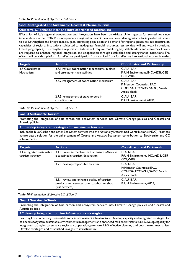#### **Goal 2: Integrated and Sustainable Coastal & Marine Tourism**

#### **Objective 2.7 enhance inter and intra coordinated mechanism**

Efforts for Africa's regional cooperation and integration have been on Africa's Union agenda for sometimes since independence in the 1960s. Post-independence regional economic cooperation and integration efforts yielded initiatives to build, strengthen and bridge capacity gaps. Increasing population and demand for regional peace has put pressure on capacities of regional institutions subjected to inadequate financial resources, less political will and weak institutions. Developing capacity to strengthen regional institutions will require mobilizing key stakeholders and resources. Efforts are required to enhance regional integration and cooperation through established and strengthened institutions. The efforts will provide a platform for effective participation from a united front for effective international economic order.

| <b>Targets</b>               | <b>Actions</b>                                                                  | <b>Coordinator and Partnership</b>                                                     |
|------------------------------|---------------------------------------------------------------------------------|----------------------------------------------------------------------------------------|
| 2.7 Coordinated<br>Mechanism | 2.7.1 review coordination mechanisms in place<br>and strengthen their abilities | C: AU-IBAR<br>P: UN Environment, IMO, AfDB, GEF,<br>GCF, WBG                           |
|                              | 2.7.2 realignment of coordination mechanism                                     | C: AU-IBAR<br>P: Member Countries; EAC,<br>COMESA, ECOWAS, SADC, North<br>Africa block |
|                              | 2.7.3 engagement of stakeholders in<br>coordination                             | C: AU-IBAR<br>P: UN Environment, AfDB,                                                 |

#### *Table 17: Presentation of objective 3.1 of Goal 3*

#### **Goal 3 Sustainable Tourism**

Promoting the integration of blue carbon and ecosystem services into Climate Change policies and Coastal and Aquatic policies

**3.1 develop integrated strategies for sustainable tourism**

Include the Blue Carbon and other Ecosystem services into the Nationally Determined Contributions (NDC). Promote nature based solution for the enhancement of Coastal and Aquatic Ecosystem contribution to Biodiversity and CC achievements

| <b>Targets</b>                                 | <b>Actions</b>                                                                                                | <b>Coordinator and Partnership</b>                                                     |
|------------------------------------------------|---------------------------------------------------------------------------------------------------------------|----------------------------------------------------------------------------------------|
| 3.1 integrated sustainable<br>tourism strategy | 3.1.1 promote mechanism that ensures Africa as<br>a sustainable tourism destination                           | C: AU-IBAR<br>P: UN Environment, IMO, AfDB, GEF,<br>GCF, WBG                           |
|                                                | 3.2.1 develop responsible tourism                                                                             | C: AU-IBAR<br>P: Member Countries; EAC,<br>COMESA, ECOWAS, SADC, North<br>Africa block |
|                                                | 3.3.1 review and enhance quality of tourism<br>products and services, one stop-border shop<br>(visa services) | $C:AU-IBAR$<br>P: UN Environment, AfDB,                                                |

#### *Table 18: Presentation of objective 3.2 of Goal 3*

#### **Goal 3 Sustainable Tourism**

Promoting the integration of blue carbon and ecosystem services into Climate Change policies and Coastal and Aquatic policies

**3.2 develop integrated tourism infrastructure strategies**

Ensuring Environmentally sustainable and climate resilient infrastructure, Develop capacity and integrated strategies for balanced ecosystem, sustainable environmental management, and enhanced resilient infrastructure. Develop capacity for integrated strategies to enhance regional cooperation, promote R&D, effective planning and coordinated mechanism. Develop strategies and established linkages to infrastructure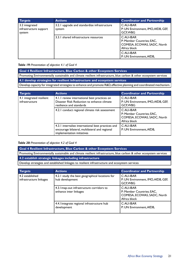| <b>Targets</b>                                     | <b>Actions</b>                                         | <b>Coordinator and Partnership</b>                                                     |
|----------------------------------------------------|--------------------------------------------------------|----------------------------------------------------------------------------------------|
| 3.2 integrated<br>infrastructure support<br>system | 3.2.1 upgrade and standardize infrastructure<br>system | C: AU-IBAR<br>P: UN Environment, IMO, AfDB, GEF,<br>GCF, WBG                           |
|                                                    | 3.3.1 shared infrastructure resources                  | C: AU-IBAR<br>P: Member Countries; EAC,<br>COMESA, ECOWAS, SADC, North<br>Africa block |
|                                                    |                                                        | C: AU-IBAR<br>P: UN Environment, AfDB,                                                 |

#### *Table 19: Presentation of objective 4.1 of Goal 4*

**Goal 4 Resilient Infrastructure, Blue Carbon & other Ecosystem Services** Promoting Environmentally sustainable and climate resilient infrastructure, blue carbon & other ecosystem services **4.1 develop strategies for resilient infrastructure and ecosystem services** Develop capacity for integrated strategies to enhance and promote R&D, effective planning and coordinated mechanism.

| <b>Targets</b>                             | <b>Actions</b>                                                                                                                     | <b>Coordinator and Partnership</b>                                                      |
|--------------------------------------------|------------------------------------------------------------------------------------------------------------------------------------|-----------------------------------------------------------------------------------------|
| 4.1 integrated resilient<br>infrastructure | 4.1.1 review international best practices on<br>Disaster Risk Reduction to enhance climate<br>resilience and standards             | C: AU-IBAR<br>P: UN Environment, IMO, AfDB, GEF,<br>GCF, WBG                            |
|                                            | 4.2.1 conduct regional climate risk assessment                                                                                     | $C:AU-IBAR$<br>P: Member Countries; EAC,<br>COMESA, ECOWAS, SADC, North<br>Africa block |
|                                            | 4.3.1 internalize international best practices and<br>encourage bilateral, multilateral and regional<br>implementation initiatives | $C:AU-IBAR$<br>P: UN Environment, AfDB,                                                 |

#### *Table 20: Presentation of objective 4.2 of Goal 4*

**Goal 4 Resilient Infrastructure, Blue Carbon & other Ecosystem Services** Promoting Environmentally sustainable and climate resilient infrastructure, blue carbon & other ecosystem services **4.2 establish strategic linkages including infrastructure**

Develop strategies and established linkages to resilient infrastructure and ecosystem services

| <b>Targets</b>                             | <b>Actions</b>                                                     | <b>Coordinator and Partnership</b>                                                     |
|--------------------------------------------|--------------------------------------------------------------------|----------------------------------------------------------------------------------------|
| 4.2 established<br>infrastructure linkages | 4.2.1 study the best geographical locations for<br>hub development | $C:AU-IBAR$<br>P: UN Environment, IMO, AfDB, GEF,<br>GCF, WBG                          |
|                                            | 4.3.1map-out infrastructure corridors to<br>enhance inter linkages | C: AU-IBAR<br>P: Member Countries; EAC,<br>COMESA, ECOWAS, SADC, North<br>Africa block |
|                                            | 4.4. lintegrate regional infrastructure hub<br>development         | C: AU-IBAR<br>P: UN Environment, AfDB,                                                 |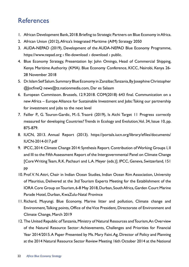# **References**

- 1. African Development Bank, 2018. Briefing to Strategic Partners on Blue Economy in Africa.
- 2. African Union (2012), Africa's Integrated Maritime (AIM) Strategy 2050
- 3. AUDA-NEPAD (2019), Development of the AUDA-NEPAD Blue Economy Programme, https://www.nepad.org › file-download › download › public.
- 4. Blue Economy Strategy, Presentation by: John Omingo, Head of Commercial Shipping, Kenya Maritime Authority (KMA). Blue Economy Conference, KICC, Nairobi, Kenya 26- 28 November 2018
- 5. Dr. Islam Seif Salum. Summary Blue Economy in Zanzibar, Tanzania, By Josephine Christopher @JocfineQ news@tz.nationmedia.com, Dar es Salaam
- 6. European Commisson. Brussels, 12.9.2018. COM(2018) 643 final. Communication on a new Africa – Europe Alliance for Sustainable Investment and Jobs: Taking our partnership for investment and jobs to the next level
- 7. Failler P., G. Touron-Gardic, M.-S. Traoré (2019), Is Aichi Target 11 Progress correctly measured for developing Countries? Trends in Ecology and Evolution, Vol. 34, Issue 10, pp. 875-879.
- 8. IUCN, 2013. Annual Report (2013). https://portals.iucn.org/library/efiles/documents/ IUCN-2014-017.pdf
- 9. IPCC, 2014: Climate Change 2014: Synthesis Report. Contribution of Working Groups I, II and III to the Fifth Assessment Report of the Intergovernmental Panel on Climate Change [Core Writing Team, R.K. Pachauri and L.A. Meyer (eds.)]. IPCC, Geneva, Switzerland, 151 pp
- 10. Prof. V. N. Attri, Chair in Indian Ocean Studies, Indian Ocean Rim Association, University of Mauritius, Delivered at the 3td Tourism Experts Meeting for the Establishment of the IORA Core Group on Tourism, 6-8 May 2018, Durban, South Africa, Garden Court Marine Parade Hotel, Durban, KwaZulu-Natal Province
- 11. Richard, Muyungi. Blue Economy, Marine litter and pollution, Climate change and Environment, Talking points, Office of the Vice President, Directorate of Environment and Climate Change, March 2019
- 12. The United Republic of Tanzania, Ministry of Natural Resources and Tourism, An Overview of the Natural Resource Sector: Achievements, Challenges and Priorities for Financial Year 2014/2015. A Paper Presented by Ms. Mary Faini. Ag. Director of Policy and Planning at the 2014 Natural Resource Sector Review Meeting 16th October 2014 at the National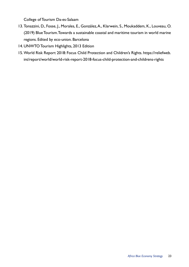College of Tourism Da-es-Salaam

- 13. Tonazzini, D., Fosse, J., Morales, E., González, A., Klarwein, S., Moukaddem, K., Louveau, O. (2019) Blue Tourism. Towards a sustainable coastal and maritime tourism in world marine regions. Edited by eco-union. Barcelona
- 14. UNWTO Tourism Highlights, 2013 Edition
- 15.World Risk Report 2018: Focus Child Protection and Children's Rights. https://reliefweb. int/report/world/world-risk-report-2018-focus-child-protection-and-childrens-rights